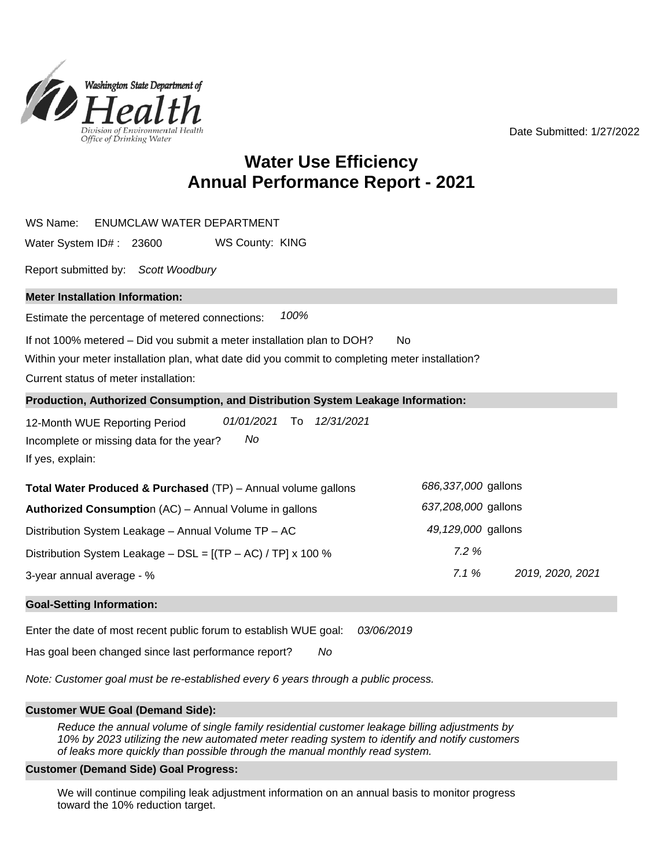Date Submitted: 1/27/2022



# **Annual Performance Report - 2021 Water Use Efficiency**

| <b>ENUMCLAW WATER DEPARTMENT</b><br>WS Name:                                                                                                                                                                                    |                          |  |  |  |  |  |
|---------------------------------------------------------------------------------------------------------------------------------------------------------------------------------------------------------------------------------|--------------------------|--|--|--|--|--|
| WS County: KING<br>Water System ID#: 23600                                                                                                                                                                                      |                          |  |  |  |  |  |
| Report submitted by: Scott Woodbury                                                                                                                                                                                             |                          |  |  |  |  |  |
| <b>Meter Installation Information:</b>                                                                                                                                                                                          |                          |  |  |  |  |  |
| 100%<br>Estimate the percentage of metered connections:                                                                                                                                                                         |                          |  |  |  |  |  |
| If not 100% metered – Did you submit a meter installation plan to DOH?<br><b>No</b><br>Within your meter installation plan, what date did you commit to completing meter installation?<br>Current status of meter installation: |                          |  |  |  |  |  |
| Production, Authorized Consumption, and Distribution System Leakage Information:                                                                                                                                                |                          |  |  |  |  |  |
| 01/01/2021<br>To<br>12/31/2021<br>12-Month WUE Reporting Period<br>No<br>Incomplete or missing data for the year?<br>If yes, explain:                                                                                           |                          |  |  |  |  |  |
| Total Water Produced & Purchased (TP) - Annual volume gallons                                                                                                                                                                   | 686,337,000 gallons      |  |  |  |  |  |
| Authorized Consumption (AC) - Annual Volume in gallons                                                                                                                                                                          | 637,208,000 gallons      |  |  |  |  |  |
| Distribution System Leakage - Annual Volume TP - AC                                                                                                                                                                             | 49,129,000 gallons       |  |  |  |  |  |
| Distribution System Leakage - DSL = $[(TP - AC) / TP] \times 100$ %                                                                                                                                                             | 7.2%                     |  |  |  |  |  |
| 3-year annual average - %                                                                                                                                                                                                       | 7.1%<br>2019, 2020, 2021 |  |  |  |  |  |
| <b>Goal-Setting Information:</b>                                                                                                                                                                                                |                          |  |  |  |  |  |

Enter the date of most recent public forum to establish WUE goal: 03/06/2019

No Has goal been changed since last performance report?

Note: Customer goal must be re-established every 6 years through a public process.

#### **Customer WUE Goal (Demand Side):**

Reduce the annual volume of single family residential customer leakage billing adjustments by 10% by 2023 utilizing the new automated meter reading system to identify and notify customers of leaks more quickly than possible through the manual monthly read system.

#### **Customer (Demand Side) Goal Progress:**

We will continue compiling leak adjustment information on an annual basis to monitor progress toward the 10% reduction target.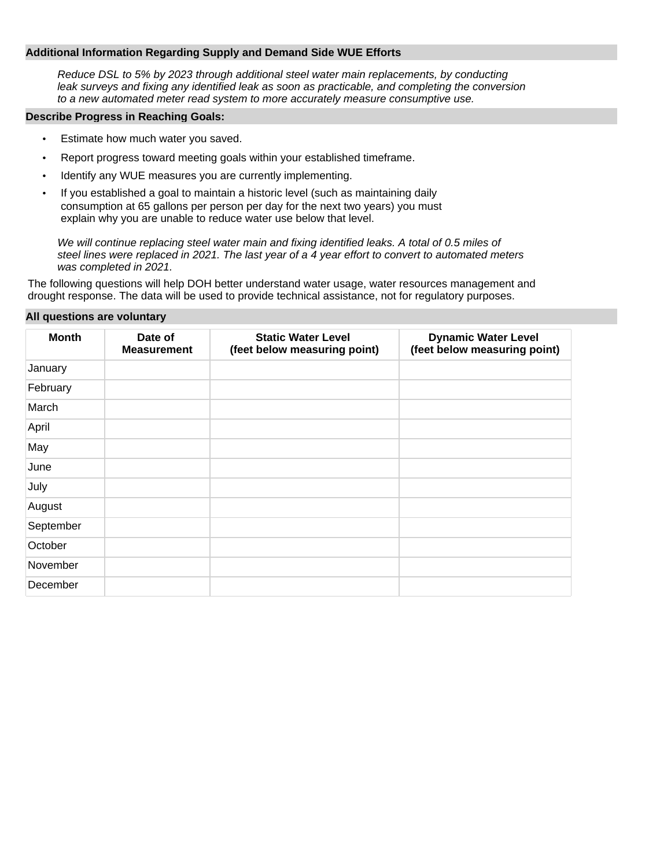#### **Additional Information Regarding Supply and Demand Side WUE Efforts**

Reduce DSL to 5% by 2023 through additional steel water main replacements, by conducting leak surveys and fixing any identified leak as soon as practicable, and completing the conversion to a new automated meter read system to more accurately measure consumptive use.

#### **Describe Progress in Reaching Goals:**

- Estimate how much water you saved.
- Report progress toward meeting goals within your established timeframe.
- Identify any WUE measures you are currently implementing.
- If you established a goal to maintain a historic level (such as maintaining daily consumption at 65 gallons per person per day for the next two years) you must explain why you are unable to reduce water use below that level.

We will continue replacing steel water main and fixing identified leaks. A total of 0.5 miles of steel lines were replaced in 2021. The last year of a 4 year effort to convert to automated meters was completed in 2021.

The following questions will help DOH better understand water usage, water resources management and drought response. The data will be used to provide technical assistance, not for regulatory purposes.

#### **All questions are voluntary**

| <b>Month</b> | Date of<br><b>Measurement</b> | <b>Static Water Level</b><br>(feet below measuring point) | <b>Dynamic Water Level</b><br>(feet below measuring point) |
|--------------|-------------------------------|-----------------------------------------------------------|------------------------------------------------------------|
| January      |                               |                                                           |                                                            |
| February     |                               |                                                           |                                                            |
| March        |                               |                                                           |                                                            |
| April        |                               |                                                           |                                                            |
| May          |                               |                                                           |                                                            |
| June         |                               |                                                           |                                                            |
| July         |                               |                                                           |                                                            |
| August       |                               |                                                           |                                                            |
| September    |                               |                                                           |                                                            |
| October      |                               |                                                           |                                                            |
| November     |                               |                                                           |                                                            |
| December     |                               |                                                           |                                                            |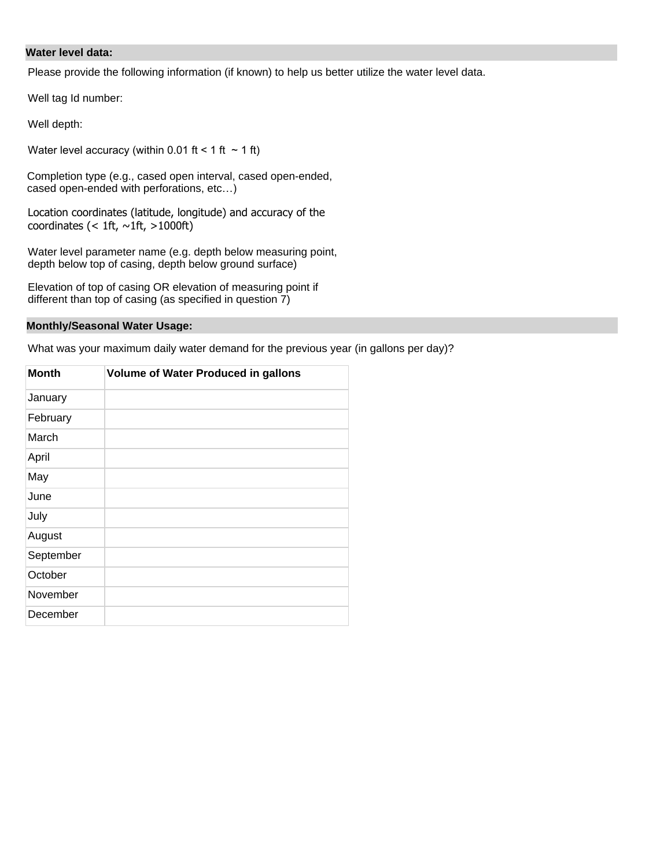### **Water level data:**

Please provide the following information (if known) to help us better utilize the water level data.

Well tag Id number:

Well depth:

Water level accuracy (within 0.01 ft < 1 ft  $\sim$  1 ft)

Completion type (e.g., cased open interval, cased open-ended, cased open-ended with perforations, etc…)

Location coordinates (latitude, longitude) and accuracy of the coordinates (< 1ft,  $\sim$ 1ft, >1000ft)

Water level parameter name (e.g. depth below measuring point, depth below top of casing, depth below ground surface)

Elevation of top of casing OR elevation of measuring point if different than top of casing (as specified in question 7)

### **Monthly/Seasonal Water Usage:**

What was your maximum daily water demand for the previous year (in gallons per day)?

| <b>Month</b> | <b>Volume of Water Produced in gallons</b> |  |  |
|--------------|--------------------------------------------|--|--|
| January      |                                            |  |  |
| February     |                                            |  |  |
| March        |                                            |  |  |
| April        |                                            |  |  |
| May          |                                            |  |  |
| June         |                                            |  |  |
| July         |                                            |  |  |
| August       |                                            |  |  |
| September    |                                            |  |  |
| October      |                                            |  |  |
| November     |                                            |  |  |
| December     |                                            |  |  |